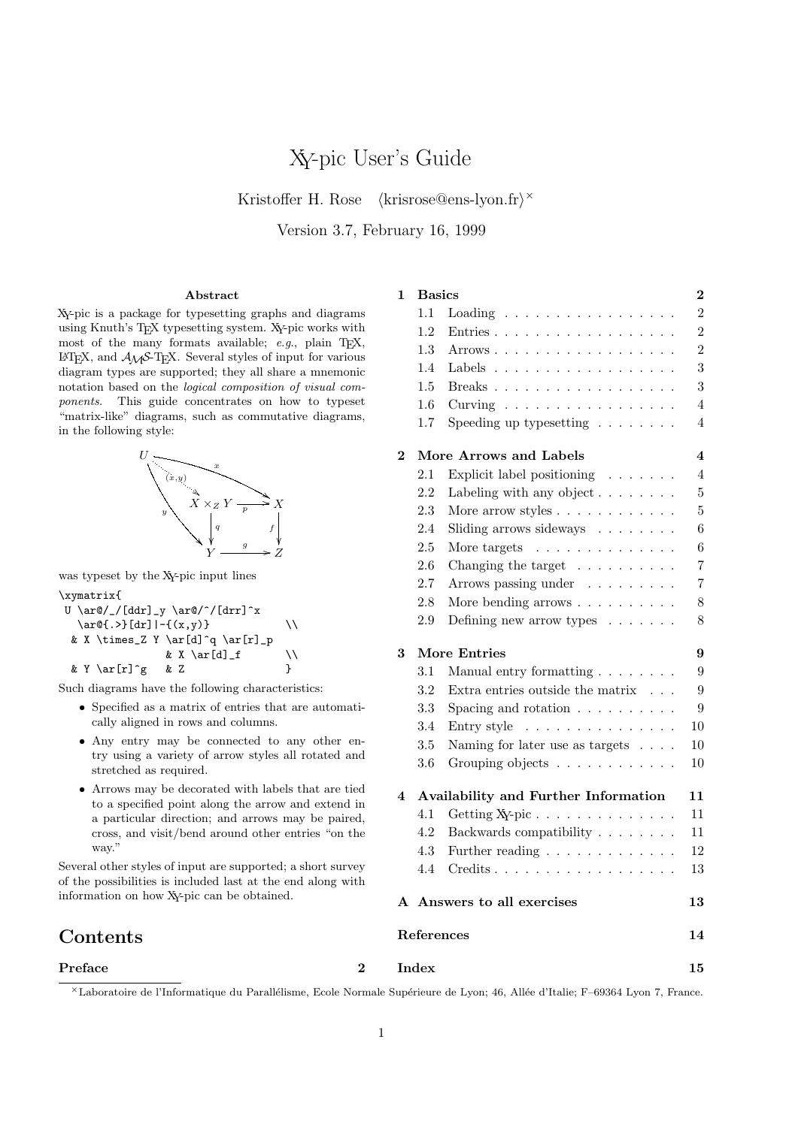# XY-pic User's Guide

Kristoffer H. Rose (krisrose@ens-lyon.fr)<sup>×</sup>

Version 3.7, February 16, 1999

#### Abstract

#### 1 Basics 2

XY-pic is a package for typesetting graphs and diagrams using Knuth's TEX typesetting system. XY-pic works with most of the many formats available; e.g., plain TEX,  $\mathbb{L}\times \mathbb{R}$  and  $\mathcal{A} \mathcal{M}$  Several styles of input for various diagram types are supported; they all share a mnemonic notation based on the logical composition of visual components. This guide concentrates on how to typeset "matrix-like" diagrams, such as commutative diagrams, in the following style:



was typeset by the XY-pic input lines

\xymatrix{

U \ar@/\_/[ddr]\_y \ar@/^/[drr]^x \ar@{.>}[dr]|-{(x,y)} \\ & X \times\_Z Y \ar[d]^q \ar[r]\_p & X \ar[d]\_f \\ & Y \ar[r]^g & Z }

Such diagrams have the following characteristics:

- Specified as a matrix of entries that are automatically aligned in rows and columns.
- Any entry may be connected to any other entry using a variety of arrow styles all rotated and stretched as required.
- Arrows may be decorated with labels that are tied to a specified point along the arrow and extend in a particular direction; and arrows may be paired, cross, and visit/bend around other entries "on the way."

Several other styles of input are supported; a short survey of the possibilities is included last at the end along with information on how XY-pic can be obtained.

# **Contents**

### Preface 2

<sup>×</sup>Laboratoire de l'Informatique du Parall´elisme, Ecole Normale Sup´erieure de Lyon; 46, All´ee d'Italie; F–69364 Lyon 7, France.

| 1.5                     |                                                        | 3                |
|-------------------------|--------------------------------------------------------|------------------|
| 1.6                     | Curving $\ldots \ldots \ldots \ldots \ldots$           | $\overline{4}$   |
| 1.7                     | Speeding up type<br>setting $\hfill\ldots\ldots\ldots$ | 4                |
| $\overline{2}$          | More Arrows and Labels                                 | 4                |
| 2.1                     | Explicit label positioning $\ldots \ldots$             | $\overline{4}$   |
| 2.2                     | Labeling with any object $\ldots \ldots$               | 5                |
| 2.3                     | More arrow styles $\ldots \ldots \ldots \ldots$        | $\overline{5}$   |
| 2.4                     | Sliding arrows sideways                                | 6                |
| 2.5                     | More targets $\ldots \ldots \ldots \ldots$             | 6                |
| 2.6                     | Changing the target $\ldots \ldots \ldots$             | $\overline{7}$   |
| 2.7                     | Arrows passing under                                   | 7                |
| 2.8                     | More bending arrows                                    | 8                |
| 2.9                     | Defining new arrow types $\ldots \ldots$               | 8                |
| 3                       | More Entries                                           | 9                |
| 3.1                     | Manual entry formatting $\ldots \ldots$                | 9                |
| 3.2                     | Extra entries outside the matrix $\phantom{1} \ldots$  | $\boldsymbol{9}$ |
| 3.3                     | Spacing and rotation $\ldots \ldots \ldots$            | 9                |
| $3.4\,$                 | Entry style $\ldots \ldots \ldots \ldots \ldots$       | 10               |
| $3.5\,$                 | Naming for later use as targets $\phantom{1} \ldots$ . | 10               |
| 3.6                     | Grouping objects                                       | 10               |
| $\overline{\mathbf{4}}$ | Availability and Further Information                   | 11               |
| 4.1                     |                                                        | 11               |
| 4.2                     | Backwards compatibility                                | 11               |
| 4.3                     | Further reading $\ldots \ldots \ldots \ldots$          | 12               |
| 4.4                     | $Credits \ldots \ldots \ldots \ldots \ldots \ldots$    | 13               |
|                         | A Answers to all exercises                             | 13               |
| References              |                                                        | 14               |
| Index                   |                                                        | 15               |

1.1 Loading . . . . . . . . . . . . . . . . . 2 1.2 Entries . . . . . . . . . . . . . . . . . . 2 1.3 Arrows . . . . . . . . . . . . . . . . . . 2 1.4 Labels . . . . . . . . . . . . . . . . . . 3

1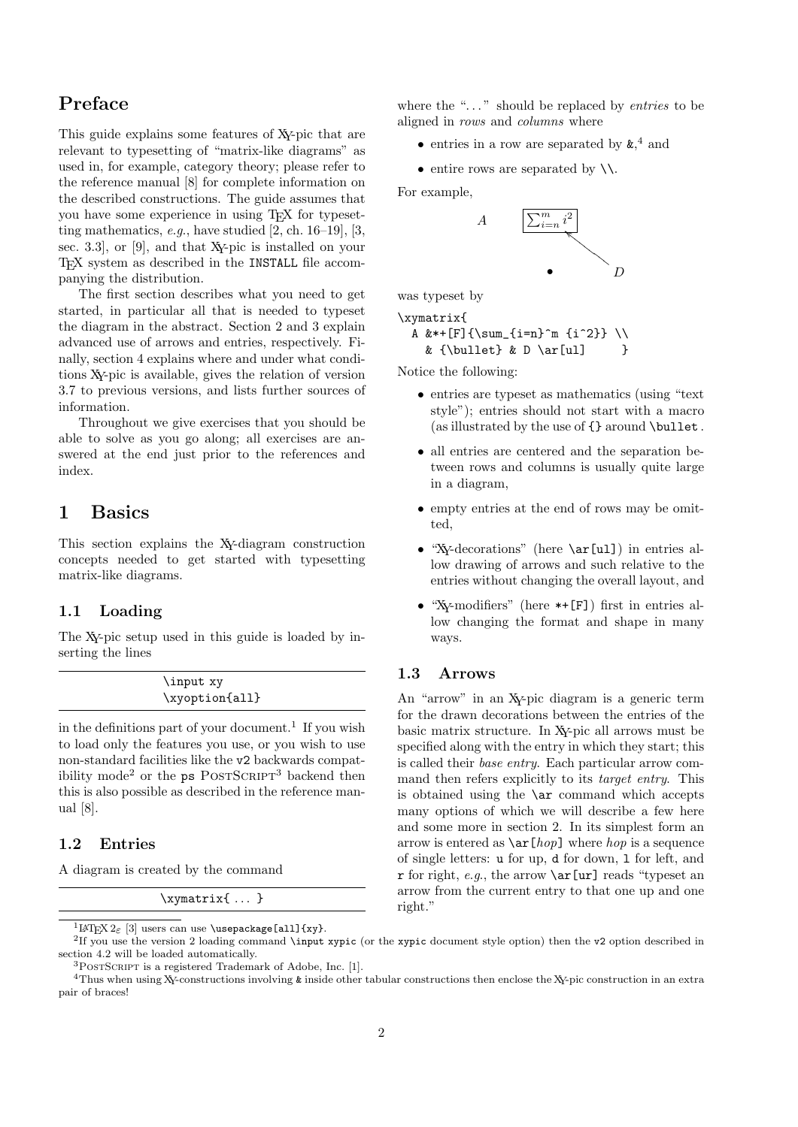# Preface

This guide explains some features of XY-pic that are relevant to typesetting of "matrix-like diagrams" as used in, for example, category theory; please refer to the reference manual [8] for complete information on the described constructions. The guide assumes that you have some experience in using TEX for typesetting mathematics,  $e.g.,$  have studied  $[2, ch. 16-19], [3,$ sec. 3.3], or [9], and that XY-pic is installed on your T<sub>E</sub>X system as described in the INSTALL file accompanying the distribution.

The first section describes what you need to get started, in particular all that is needed to typeset the diagram in the abstract. Section 2 and 3 explain advanced use of arrows and entries, respectively. Finally, section 4 explains where and under what conditions XY-pic is available, gives the relation of version 3.7 to previous versions, and lists further sources of information.

Throughout we give exercises that you should be able to solve as you go along; all exercises are answered at the end just prior to the references and index.

# 1 Basics

This section explains the XY-diagram construction concepts needed to get started with typesetting matrix-like diagrams.

# 1.1 Loading

The XY-pic setup used in this guide is loaded by inserting the lines

| \input xy      |  |
|----------------|--|
| \xyoption{all} |  |

in the definitions part of your document.<sup>1</sup> If you wish to load only the features you use, or you wish to use non-standard facilities like the v2 backwards compatibility mode<sup>2</sup> or the  $ps$  POSTSCRIPT<sup>3</sup> backend then this is also possible as described in the reference manual [8].

### 1.2 Entries

A diagram is created by the command

\xymatrix{ ... }

where the " $\dots$ " should be replaced by *entries* to be aligned in rows and columns where

- entries in a row are separated by  $\boldsymbol{\&},^4$  and
- entire rows are separated by  $\setminus \setminus$ .

For example,



was typeset by

\xymatrix{ A &\*+[F]{\sum\_{i=n}^m {i^2}} \\

&  ${\hbox{\tt \& D \ar[u1]} \hbox{\tt \& D \ar[v1]}$ 

Notice the following:

- entries are typeset as mathematics (using "text style"); entries should not start with a macro (as illustrated by the use of  $\{\}$  around \bullet.
- all entries are centered and the separation between rows and columns is usually quite large in a diagram,
- empty entries at the end of rows may be omitted,
- "Xy-decorations" (here \ar[ul]) in entries allow drawing of arrows and such relative to the entries without changing the overall layout, and
- "XY-modifiers" (here \*+[F]) first in entries allow changing the format and shape in many ways.

## 1.3 Arrows

An "arrow" in an XY-pic diagram is a generic term for the drawn decorations between the entries of the basic matrix structure. In XY-pic all arrows must be specified along with the entry in which they start; this is called their base entry. Each particular arrow command then refers explicitly to its target entry. This is obtained using the  $\ar$  command which accepts many options of which we will describe a few here and some more in section 2. In its simplest form an arrow is entered as  $\ar[hop]$  where hop is a sequence of single letters: u for up, d for down, l for left, and r for right, e.g., the arrow  $\ar[ur]$  reads "typeset an arrow from the current entry to that one up and one right."

<sup>&</sup>lt;sup>1</sup>LAT<sub>E</sub>X 2 $\varepsilon$  [3] users can use \usepackage[all]{xy}.

<sup>2</sup> If you use the version 2 loading command \input xypic (or the xypic document style option) then the v2 option described in section 4.2 will be loaded automatically.

 $3$ POSTSCRIPT is a registered Trademark of Adobe, Inc. [1].

<sup>&</sup>lt;sup>4</sup>Thus when using X<sub>Y</sub>-constructions involving & inside other tabular constructions then enclose the X<sub>Y</sub>-pic construction in an extra pair of braces!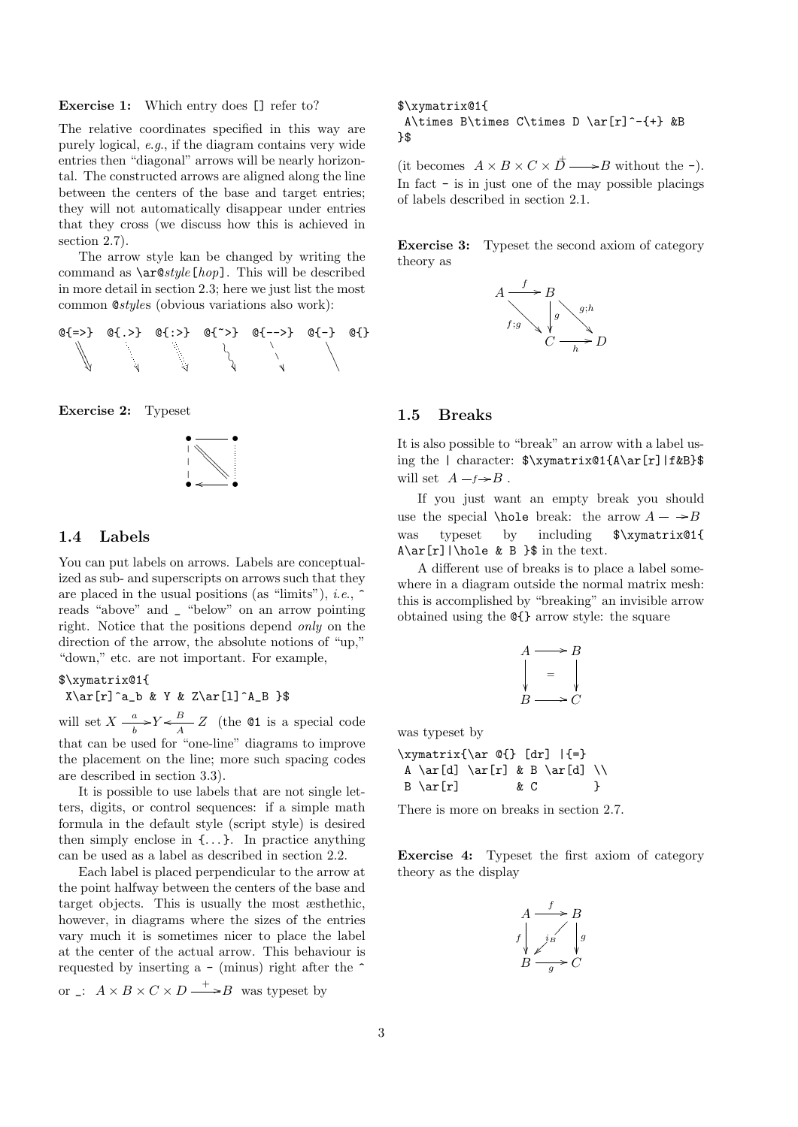Exercise 1: Which entry does [] refer to?

The relative coordinates specified in this way are purely logical, e.g., if the diagram contains very wide entries then "diagonal" arrows will be nearly horizontal. The constructed arrows are aligned along the line between the centers of the base and target entries; they will not automatically disappear under entries that they cross (we discuss how this is achieved in section 2.7).

The arrow style kan be changed by writing the command as  $\arcsin kpc$ . This will be described in more detail in section 2.3; here we just list the most common @styles (obvious variations also work):



Exercise 2: Typeset



#### 1.4 Labels

You can put labels on arrows. Labels are conceptualized as sub- and superscripts on arrows such that they are placed in the usual positions (as "limits"), *i.e.*,  $\hat{ }$ reads "above" and \_ "below" on an arrow pointing right. Notice that the positions depend only on the direction of the arrow, the absolute notions of "up," "down," etc. are not important. For example,

#### \$\xymatrix@1{

 $X\ar[r]$ <sup>a</sup>b & Y & Z\ar[l]<sup>^</sup>A\_B }\$

will set  $X - \frac{a}{b}$  $\frac{a}{b}$  >  $Y \leftarrow \frac{B}{A}$   $Z$  (the **01** is a special code that can be used for "one-line" diagrams to improve the placement on the line; more such spacing codes are described in section 3.3).

It is possible to use labels that are not single letters, digits, or control sequences: if a simple math formula in the default style (script style) is desired then simply enclose in  $\{\ldots\}$ . In practice anything can be used as a label as described in section 2.2.

Each label is placed perpendicular to the arrow at the point halfway between the centers of the base and target objects. This is usually the most æsthethic, however, in diagrams where the sizes of the entries vary much it is sometimes nicer to place the label at the center of the actual arrow. This behaviour is requested by inserting a  $-$  (minus) right after the  $\hat{ }$ or \_:  $A \times B \times C \times D \longrightarrow B$  was typeset by

\$\xymatrix@1{ A\times B\times C\times D \ar[r]^-{+} &B  $\lambda$ 

(it becomes  $A \times B \times C \times \overrightarrow{D} \longrightarrow B$  without the -). In fact - is in just one of the may possible placings of labels described in section 2.1.

Exercise 3: Typeset the second axiom of category theory as



#### 1.5 Breaks

It is also possible to "break" an arrow with a label using the | character: \$\xymatrix@1{A\ar[r]|f&B}\$ will set  $A - f \rightarrow B$ .

If you just want an empty break you should use the special **\hole** break: the arrow  $A - \rightarrow B$ was typeset by including \$\xymatrix@1{  $A\ar[r]|\hbox{blue & B }$  in the text.

A different use of breaks is to place a label somewhere in a diagram outside the normal matrix mesh: this is accomplished by "breaking" an invisible arrow obtained using the @{} arrow style: the square

$$
A \longrightarrow B
$$
  
\n
$$
\downarrow = \downarrow
$$
  
\n
$$
B \longrightarrow C
$$

was typeset by

\xymatrix{\ar @{} [dr] |{=} A \ar[d] \ar[r] & B \ar[d] \\ B \ar[r] & C }

There is more on breaks in section 2.7.

Exercise 4: Typeset the first axiom of category theory as the display

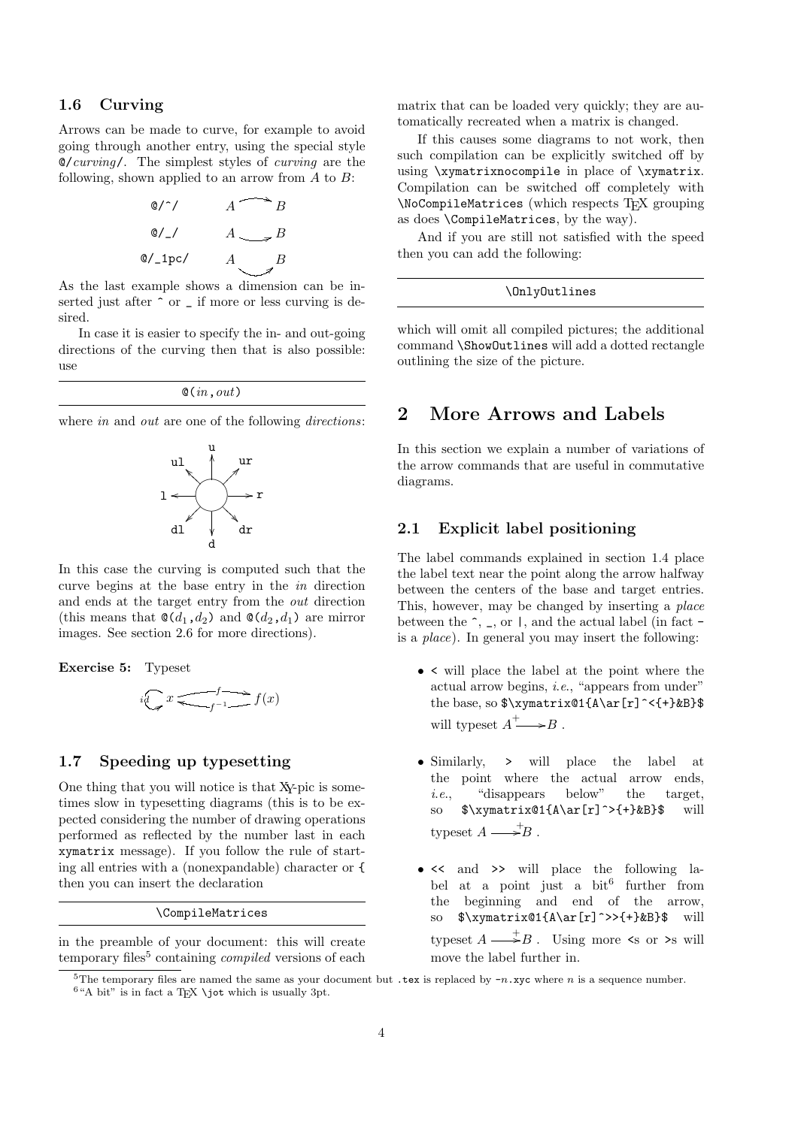#### 1.6 Curving

Arrows can be made to curve, for example to avoid going through another entry, using the special style  $\mathcal{O}/\mathit{curving}/$ . The simplest styles of *curving* are the following, shown applied to an arrow from  $A$  to  $B$ :

$$
\begin{array}{ccc}\n\text{Q}/\gamma & A & \rightarrow B \\
\text{Q}/\gamma & A & \rightarrow B \\
\text{Q}/\gamma & A & \rightarrow B \\
\text{Q}/\gamma & A & B \\
\end{array}
$$

As the last example shows a dimension can be inserted just after  $\hat{ }$  or  $\hat{ }$  if more or less curving is desired.

In case it is easier to specify the in- and out-going directions of the curving then that is also possible: use

|  |  |  |  |  | $\mathcal{Q}(in,out)$ |
|--|--|--|--|--|-----------------------|
|--|--|--|--|--|-----------------------|

where *in* and *out* are one of the following *directions*:



In this case the curving is computed such that the curve begins at the base entry in the in direction and ends at the target entry from the out direction (this means that  $\mathcal{Q}(d_1, d_2)$  and  $\mathcal{Q}(d_2, d_1)$  are mirror images. See section 2.6 for more directions).

Exercise 5: Typeset

$$
i\bigodot x \xrightarrow{f} f(x)
$$

#### 1.7 Speeding up typesetting

One thing that you will notice is that XY-pic is sometimes slow in typesetting diagrams (this is to be expected considering the number of drawing operations performed as reflected by the number last in each xymatrix message). If you follow the rule of starting all entries with a (nonexpandable) character or { then you can insert the declaration

\CompileMatrices

in the preamble of your document: this will create temporary files<sup>5</sup> containing *compiled* versions of each

matrix that can be loaded very quickly; they are automatically recreated when a matrix is changed.

If this causes some diagrams to not work, then such compilation can be explicitly switched off by using \xymatrixnocompile in place of \xymatrix. Compilation can be switched off completely with \NoCompileMatrices (which respects TEX grouping as does \CompileMatrices, by the way).

And if you are still not satisfied with the speed then you can add the following:

#### \OnlyOutlines

which will omit all compiled pictures; the additional command \ShowOutlines will add a dotted rectangle outlining the size of the picture.

# 2 More Arrows and Labels

In this section we explain a number of variations of the arrow commands that are useful in commutative diagrams.

#### 2.1 Explicit label positioning

The label commands explained in section 1.4 place the label text near the point along the arrow halfway between the centers of the base and target entries. This, however, may be changed by inserting a place between the  $\hat{ }$ ,  $\hat{ }$ , or  $\hat{ }$ , and the actual label (in fact  $\hat{ }$ is a place). In general you may insert the following:

- < will place the label at the point where the actual arrow begins, i.e., "appears from under" the base, so  $\xymatrix21}{A\ar[r]^{-1}\&B}$ will type<br>set  $A^+ \longrightarrow B$  .
- Similarly, > will place the label at the point where the actual arrow ends, i.e., "disappears below" the target, so  $\sqrt{\frac{a}{A\ar[r]}^{\+}}kB}$  will typeset  $A \longrightarrow B$ .
- << and >> will place the following label at a point just a bit<sup>6</sup> further from the beginning and end of the arrow, so  $\sqrt{\x$  \xymatrix@1{A\ar[r]^>>{+}&B}\$ will typeset  $A \longrightarrow B$ . Using more  $\leq$  or  $\geq$  will move the label further in.

<sup>&</sup>lt;sup>5</sup>The temporary files are named the same as your document but .tex is replaced by  $-n$ .xyc where n is a sequence number.

 $6$ "A bit" is in fact a T<sub>E</sub>X \jot which is usually 3pt.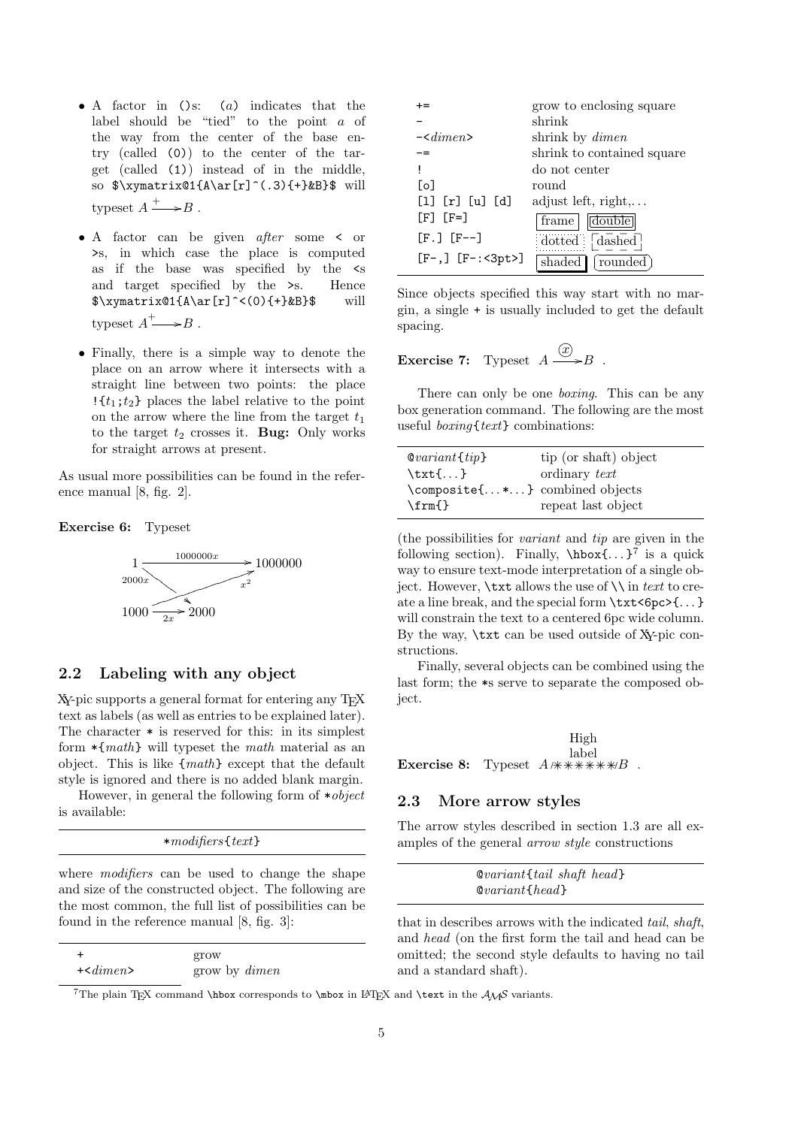- A factor in ()s: (a) indicates that the label should be "tied" to the point a of the way from the center of the base entry (called (0)) to the center of the target (called (1)) instead of in the middle, so  $\xymatrix@1{A\ar[r]^(.3){+}kB}$  will typeset  $A \xrightarrow{+} B$ .
- A factor can be given after some < or >s, in which case the place is computed as if the base was specified by the <s and target specified by the >s. Hence  $\gamma(xymatrix@1{A\ar[r]}^<(0){+}kB$ }\$ will typeset  $A^+ \longrightarrow B$ .
- Finally, there is a simple way to denote the place on an arrow where it intersects with a straight line between two points: the place  $\{\{t_1;t_2\}\$  places the label relative to the point on the arrow where the line from the target  $t_1$ to the target  $t_2$  crosses it. Bug: Only works for straight arrows at present.

As usual more possibilities can be found in the reference manual [8, fig. 2].

Exercise 6: Typeset



# 2.2 Labeling with any object

XY-pic supports a general format for entering any TEX text as labels (as well as entries to be explained later). The character \* is reserved for this: in its simplest form  $\ast$ {*math*} will typeset the *math* material as an object. This is like {math} except that the default style is ignored and there is no added blank margin.

However, in general the following form of  $*object$ is available:

| $*$ modifiers $\{texttext{ }\}$ |
|---------------------------------|
|---------------------------------|

where *modifiers* can be used to change the shape and size of the constructed object. The following are the most common, the full list of possibilities can be found in the reference manual [8, fig. 3]:

| $\div$          | grow                 |
|-----------------|----------------------|
| $+$ < $dimen$ > | grow by <i>dimen</i> |

+= grow to enclosing square - shrink -<dimen> shrink by dimen -= shrink to contained square ! do not center [o] round  $\begin{bmatrix} 1 \end{bmatrix}$   $\begin{bmatrix} r \end{bmatrix}$   $\begin{bmatrix} u \end{bmatrix}$   $\begin{bmatrix} d \end{bmatrix}$  adjust left, right,...  $[F<sup>3</sup>]$   $[F<sup>4</sup>]$   $[frame]$   $[double]$  $[F.]$   $[F--]$  dotted \_ \_ \_ \_ İ  $\frac{1}{2}$  dashed  $[F-,]$   $[F-:<3pt>]$  shaded rounded

Since objects specified this way start with no margin, a single + is usually included to get the default spacing.

**Exercise 7:** Typeset 
$$
A \xrightarrow{\textcircled{x}} B
$$
.

There can only be one *boxing*. This can be any box generation command. The following are the most useful *boxing* { $text$ } combinations:

| $\mathcal{Q} variant{tip}$     | tip (or shaft) object |
|--------------------------------|-----------------------|
| $\text{txt} \ldots$            | ordinary text         |
| \composite{*} combined objects |                       |
| $\rm\{fm}\$                    | repeat last object    |

(the possibilities for variant and tip are given in the following section). Finally,  $\hbar$ ox $\{ \ldots \}^7$  is a quick way to ensure text-mode interpretation of a single object. However,  $\text{at }$  allows the use of  $\setminus$  in text to create a line break, and the special form \txt<6pc>{. . . } will constrain the text to a centered 6pc wide column. By the way, \txt can be used outside of XY-pic constructions.

Finally, several objects can be combined using the last form; the \*s serve to separate the composed object.

**Exercise 8:** Typeset  $A \nleftrightarrow \nleftrightarrow \nleftrightarrow B$ . High label

#### 2.3 More arrow styles

The arrow styles described in section 1.3 are all examples of the general arrow style constructions

| $\&variant$ tail shaft head |
|-----------------------------|
| $\&variant \{head\}$        |

that in describes arrows with the indicated tail, shaft, and head (on the first form the tail and head can be omitted; the second style defaults to having no tail and a standard shaft).

<sup>7</sup>The plain TEX command \hbox corresponds to \mbox in LATEX and \text in the  $A\mathcal{M}S$  variants.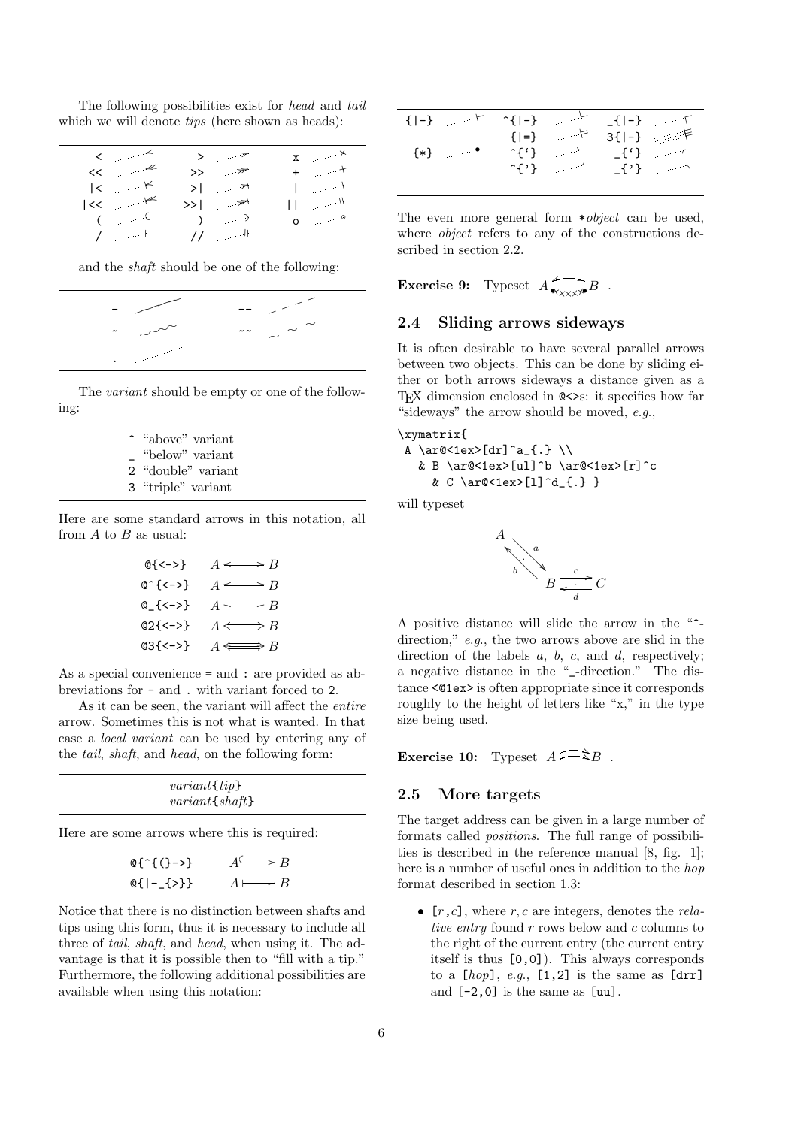The following possibilities exist for head and tail which we will denote *tips* (here shown as heads):

| $\langle \cdot \rangle$ $\sim$          | > 7                         | $\mathbf{x} \rightarrow \mathbf{x}$ |  |
|-----------------------------------------|-----------------------------|-------------------------------------|--|
| $<<$ $\qquad$                           | >> *                        | $+$ $+$                             |  |
| $\vert \cdot \vert$ $\vert \cdot \vert$ | $>$   $\rightarrow$         | $\mathbb{R}^n \times \mathbb{R}^n$  |  |
| $ <$ $\lt$                              | >>∣ <del>≫\</del>           | $\Box$ $\Box$                       |  |
| $\zeta$ (c)                             | $\rightarrow$ $\rightarrow$ | $\circ$ $\circ$                     |  |
| $I = -1$                                | $\frac{1}{2}$ $\frac{1}{2}$ |                                     |  |
|                                         |                             |                                     |  |

and the shaft should be one of the following:



The *variant* should be empty or one of the following:

| ~ "above" variant  |
|--------------------|
| - "below" variant  |
| 2 "double" variant |
| 3 "triple" variant |
|                    |

Here are some standard arrows in this notation, all from  $A$  to  $B$  as usual:

$$
\begin{array}{ccc}\n @{<>}\n @^<-> & & A & \longrightarrow B \\
 @^<-> & & A & \longrightarrow B \\
 @^<-> & & A & \longrightarrow B \\
 @^<-> & & A & \longrightarrow B \\
 @^<-> & & & A & \longrightarrow B \\
 \end{array}
$$

As a special convenience = and : are provided as abbreviations for - and . with variant forced to 2.

As it can be seen, the variant will affect the *entire* arrow. Sometimes this is not what is wanted. In that case a local variant can be used by entering any of the tail, shaft, and head, on the following form:

| $variant \{tip\}$ |  |
|-------------------|--|
| $variant {shift}$ |  |

Here are some arrows where this is required:

$$
\begin{array}{ll}\n\mathbb{Q} \{ \hat{\ } \{ \} - > \} & A \longrightarrow B \\
\mathbb{Q} \{ \vert - \{ \} \} & A \longmapsto B \\
\end{array}
$$

Notice that there is no distinction between shafts and tips using this form, thus it is necessary to include all three of tail, shaft, and head, when using it. The advantage is that it is possible then to "fill with a tip." Furthermore, the following additional possibilities are available when using this notation:

| $\{-\}$ $\qquad \qquad \vdash$ | $\sim$ $\left\{  -\right\}$                                | $-[ -]$ $\qquad \qquad$ |                                                           |
|--------------------------------|------------------------------------------------------------|-------------------------|-----------------------------------------------------------|
|                                | $\{ =\}$ $\qquad \qquad \vdash$                            |                         | $3\{\vert -\}$ $\qquad \qquad \models$                    |
| $\{*\}$                        | $\hat{\mathcal{L}}$ $\left\{ \cdot \right\}$ $\mathcal{L}$ |                         | $\lfloor \{ \cdot \} \rfloor$ and $\lfloor \cdot \rfloor$ |
|                                | $\hat{\mathcal{L}}$ $\left\{ \cdot \right\}$               |                         | $\lfloor \{\cdot\} \rfloor$                               |

The even more general form  $*obiect$  can be used. where *object* refers to any of the constructions described in section 2.2.

**Exercise 9:** Typeset  $\widehat{A}_{\bullet_{\mathsf{XXX}}\times\mathsf{B}}$   $\widehat{B}$ .

#### 2.4 Sliding arrows sideways

It is often desirable to have several parallel arrows between two objects. This can be done by sliding either or both arrows sideways a distance given as a TEX dimension enclosed in @<>s: it specifies how far "sideways" the arrow should be moved,  $e.g.,$ 

```
\xymatrix{
```
A \ar@<1ex>[dr]^a\_{.} \\ & B \ar@<1ex>[ul]^b \ar@<1ex>[r]^c & C \ar@<1ex>[l]^d\_{.} }

will typeset



A positive distance will slide the arrow in the "^ direction," e.g., the two arrows above are slid in the direction of the labels  $a, b, c,$  and  $d$ , respectively; a negative distance in the "\_-direction." The distance <@1ex> is often appropriate since it corresponds roughly to the height of letters like "x," in the type size being used.

Exercise 10: Typeset  $A \widehat{\longrightarrow} B$ .

#### 2.5 More targets

The target address can be given in a large number of formats called positions. The full range of possibilities is described in the reference manual [8, fig. 1]; here is a number of useful ones in addition to the hop format described in section 1.3:

•  $[r, c]$ , where r, c are integers, denotes the relative entry found  $r$  rows below and  $c$  columns to the right of the current entry (the current entry itself is thus [0,0]). This always corresponds to a  $[hop]$ , e.g.,  $[1,2]$  is the same as  $[drr]$ and [-2,0] is the same as [uu].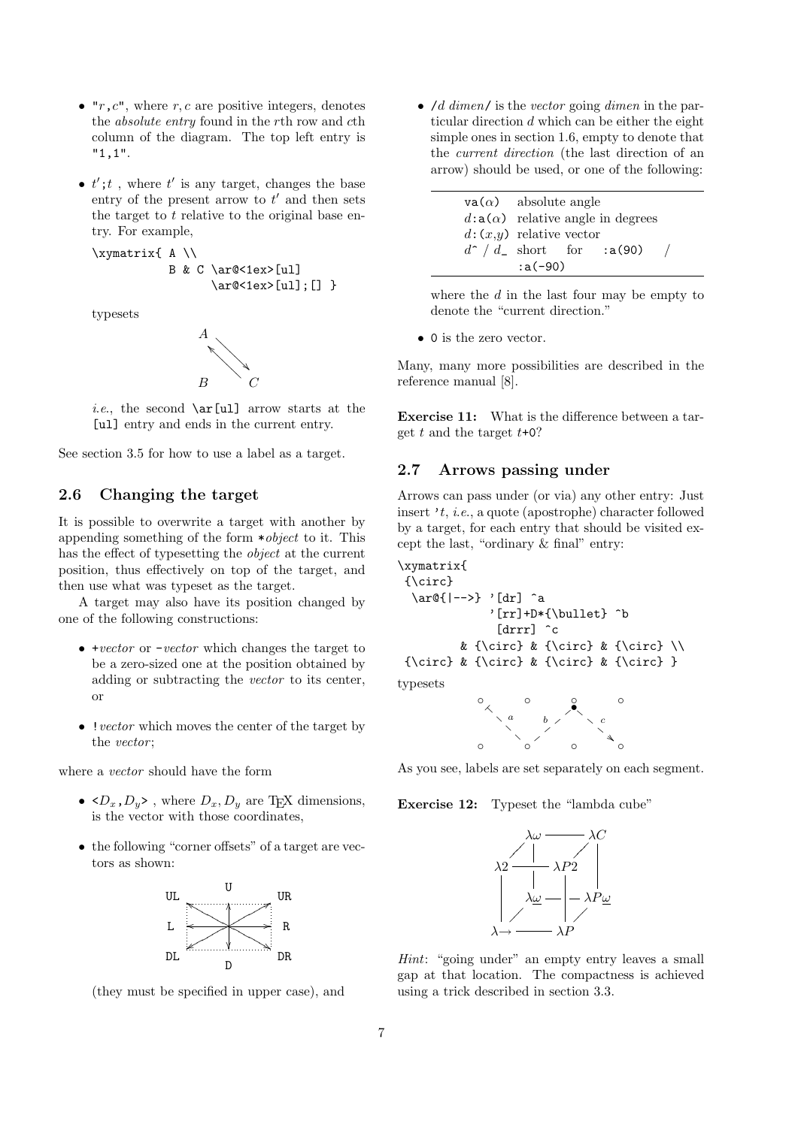- $\mathbf{r}$ ,  $c$ <sup>"</sup>, where r, c are positive integers, denotes the absolute entry found in the rth row and cth column of the diagram. The top left entry is "1,1".
- $t'$ ;  $t$ , where  $t'$  is any target, changes the base entry of the present arrow to  $t'$  and then sets the target to  $t$  relative to the original base entry. For example,

\xymatrix{ A \\ B & C \ar@<1ex>[ul] \ar@<1ex>[ul];[] }

typesets



*i.e.*, the second  $\ar[ul]$  arrow starts at the [ul] entry and ends in the current entry.

See section 3.5 for how to use a label as a target.

# 2.6 Changing the target

It is possible to overwrite a target with another by appending something of the form \*object to it. This has the effect of typesetting the object at the current position, thus effectively on top of the target, and then use what was typeset as the target.

A target may also have its position changed by one of the following constructions:

- +vector or -vector which changes the target to be a zero-sized one at the position obtained by adding or subtracting the vector to its center, or
- $\bullet~! \,vector$  which moves the center of the target by the *vector*;

where a vector should have the form

- $\langle D_x, D_y \rangle$ , where  $D_x, D_y$  are T<sub>E</sub>X dimensions, is the vector with those coordinates,
- the following "corner offsets" of a target are vectors as shown:



(they must be specified in upper case), and

•  $\overline{d}$  dimen/ is the vector going dimen in the particular direction  $d$  which can be either the eight simple ones in section 1.6, empty to denote that the current direction (the last direction of an arrow) should be used, or one of the following:

| $\mathbf{va}(\alpha)$ absolute angle |                                          |  |                                     |  |
|--------------------------------------|------------------------------------------|--|-------------------------------------|--|
|                                      | $d: a(\alpha)$ relative angle in degrees |  |                                     |  |
|                                      | $d:(x,y)$ relative vector                |  |                                     |  |
|                                      |                                          |  | $d^{\sim}/d_{-}$ short for :a(90) / |  |
| $: a(-90)$                           |                                          |  |                                     |  |

where the  $d$  in the last four may be empty to denote the "current direction."

• 0 is the zero vector.

Many, many more possibilities are described in the reference manual [8].

Exercise 11: What is the difference between a target  $t$  and the target  $t+0$ ?

#### 2.7 Arrows passing under

Arrows can pass under (or via) any other entry: Just insert 't, i.e., a quote (apostrophe) character followed by a target, for each entry that should be visited except the last, "ordinary & final" entry:

```
\xymatrix{
 {\circ}
  \ar@{|-->} '[dr] ^a
             '[rr]+D*{\bullet} ^b
              [drrr] ^c
         & {\circ} & {\circ} & {\circ} \\
 {\circ} & {\circ} & {\circ} & {\circ} }
typesets
```


As you see, labels are set separately on each segment.

Exercise 12: Typeset the "lambda cube"



Hint: "going under" an empty entry leaves a small gap at that location. The compactness is achieved using a trick described in section 3.3.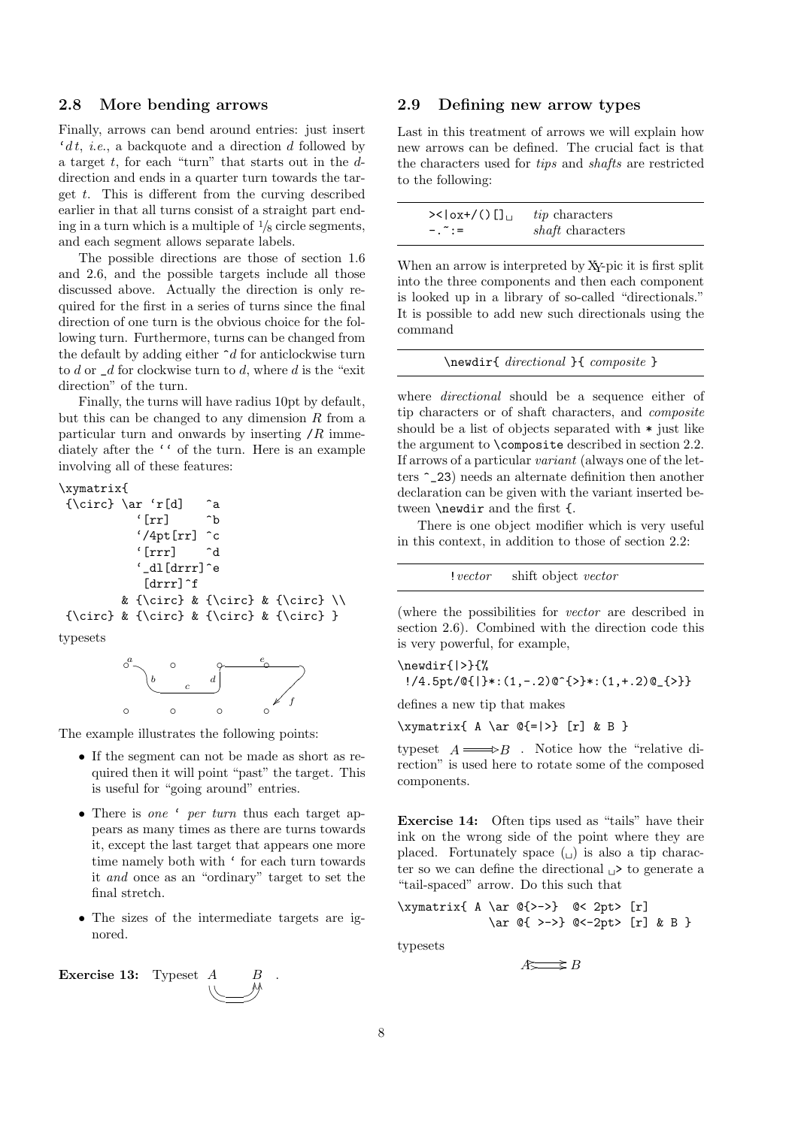#### 2.8 More bending arrows

Finally, arrows can bend around entries: just insert  $'dt, i.e., a backquote and a direction d followed by$ a target  $t$ , for each "turn" that starts out in the  $d$ direction and ends in a quarter turn towards the target  $t$ . This is different from the curving described earlier in that all turns consist of a straight part ending in a turn which is a multiple of  $\frac{1}{8}$  circle segments, and each segment allows separate labels.

The possible directions are those of section 1.6 and 2.6, and the possible targets include all those discussed above. Actually the direction is only required for the first in a series of turns since the final direction of one turn is the obvious choice for the following turn. Furthermore, turns can be changed from the default by adding either  $\hat{\phantom{a}} d$  for anticlockwise turn to d or  $\mathcal{A}$  for clockwise turn to d, where d is the "exit" direction" of the turn.

Finally, the turns will have radius 10pt by default, but this can be changed to any dimension  $R$  from a particular turn and onwards by inserting  $/R$  immediately after the '' of the turn. Here is an example involving all of these features:

#### \xymatrix{

```
{\circ} \ar 'r[d] ^a
          '[rr] ^b
          '/4pt[rr] ^c
          '[rrr] ^d
          '_dl[drrr]^e
           [drrr]^f
        & {\circ} & {\circ} & {\circ} \setminus{\circ} & {\circ} & {\circ} & {\circ} }
```
typesets



The example illustrates the following points:

- If the segment can not be made as short as required then it will point "past" the target. This is useful for "going around" entries.
- There is one ' per turn thus each target appears as many times as there are turns towards it, except the last target that appears one more time namely both with ' for each turn towards it and once as an "ordinary" target to set the final stretch.
- The sizes of the intermediate targets are ignored.



#### 2.9 Defining new arrow types

Last in this treatment of arrows we will explain how new arrows can be defined. The crucial fact is that the characters used for tips and shafts are restricted to the following:

|           | <i>tip</i> characters   |
|-----------|-------------------------|
| $-1.7 :=$ | <i>shaft</i> characters |

When an arrow is interpreted by XY-pic it is first split into the three components and then each component is looked up in a library of so-called "directionals." It is possible to add new such directionals using the command

```
\newdir{ directional }{ composite }
```
where *directional* should be a sequence either of tip characters or of shaft characters, and composite should be a list of objects separated with \* just like the argument to \composite described in section 2.2. If arrows of a particular variant (always one of the letters ^\_23) needs an alternate definition then another declaration can be given with the variant inserted between \newdir and the first {.

There is one object modifier which is very useful in this context, in addition to those of section 2.2:

!vector shift object vector

(where the possibilities for vector are described in section 2.6). Combined with the direction code this is very powerful, for example,

\newdir{|>}{% !/4.5pt/@{|}\*:(1,-.2)@^{>}\*:(1,+.2)@\_{>}}

defines a new tip that makes

$$
\xymatrix{ A \ar @{-|>} [r] & B }
$$

typeset  $A =$  $\Longrightarrow$ B. Notice how the "relative direction" is used here to rotate some of the composed components.

Exercise 14: Often tips used as "tails" have their ink on the wrong side of the point where they are placed. Fortunately space  $\left(\begin{smallmatrix} 1 \end{smallmatrix}\right)$  is also a tip character so we can define the directional  $\Box$ > to generate a "tail-spaced" arrow. Do this such that

$$
\xymatrix{ A \ar @{>->} @< 2pt > [r] \ar @{ >->} @<-2pt > [r] & B }
$$

typesets

 $A \longrightarrow B$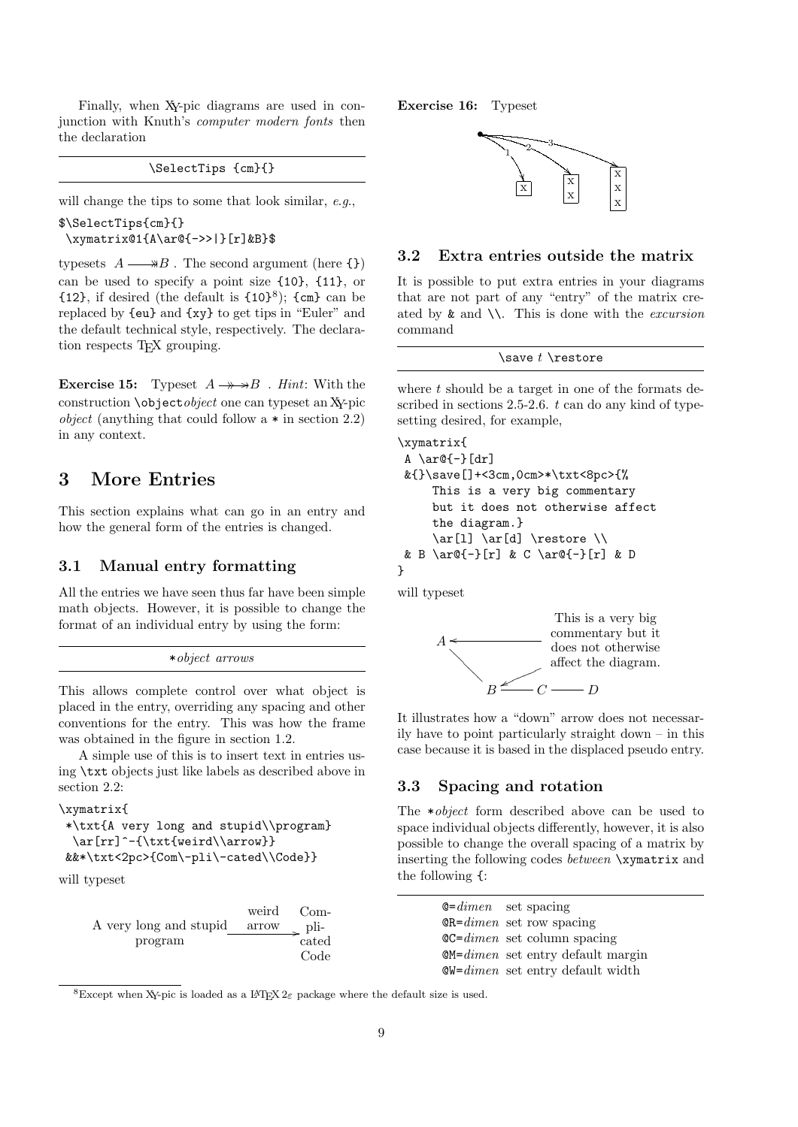Finally, when XY-pic diagrams are used in conjunction with Knuth's computer modern fonts then the declaration

#### \SelectTips {cm}{}

will change the tips to some that look similar, e.g.,

\$\SelectTips{cm}{} \xymatrix@1{A\ar@{->>|}[r]&B}\$

typesets  $A \longrightarrow B$ . The second argument (here {})  $\overline{\phantom{a}}$ can be used to specify a point size {10}, {11}, or  ${12}$ , if desired (the default is  ${10}^8$ );  ${cm}$  can be replaced by {eu} and {xy} to get tips in "Euler" and the default technical style, respectively. The declaration respects T<sub>E</sub>X grouping.

**Exercise 15:** Typeset  $A \rightarrow B$  . Hint: With the construction \objectobject one can typeset an XY-pic *object* (anything that could follow a  $*$  in section 2.2) in any context.

# 3 More Entries

This section explains what can go in an entry and how the general form of the entries is changed.

#### 3.1 Manual entry formatting

All the entries we have seen thus far have been simple math objects. However, it is possible to change the format of an individual entry by using the form:

```
*object arrows
```
This allows complete control over what object is placed in the entry, overriding any spacing and other conventions for the entry. This was how the frame was obtained in the figure in section 1.2.

A simple use of this is to insert text in entries using \txt objects just like labels as described above in section 2.2:

```
\xymatrix{
```

```
*\txt{A very long and stupid\\program}
 \ar[rr]^-{\txt{weird\\arrow}}
&&*\txt<2pc>{Com\-pli\-cated\\Code}}
```
will typeset

|                                   | weird | Com-  |
|-----------------------------------|-------|-------|
| A very long and stupid arrow pli- |       |       |
| program                           |       | cated |
|                                   |       | Code  |

Exercise 16: Typeset



#### 3.2 Extra entries outside the matrix

It is possible to put extra entries in your diagrams that are not part of any "entry" of the matrix created by  $\&$  and  $\setminus\$ . This is done with the *excursion* command

\save  $t$  \restore

where  $t$  should be a target in one of the formats described in sections  $2.5$ - $2.6$ .  $t$  can do any kind of typesetting desired, for example,

```
\xymatrix{
A \ar@{-}[dr]
 &{}\save[]+<3cm,0cm>*\txt<8pc>{%
     This is a very big commentary
     but it does not otherwise affect
     the diagram.}
     \ar[1] \ar[d] \r aractere \wedge& B \ar@{-}[r] & C \ar@{-}[r] & D
}
```
will typeset



It illustrates how a "down" arrow does not necessarily have to point particularly straight down – in this case because it is based in the displaced pseudo entry.

## 3.3 Spacing and rotation

The \*object form described above can be used to space individual objects differently, however, it is also possible to change the overall spacing of a matrix by inserting the following codes between \xymatrix and the following {:

> $\mathbf{Q} = dimen$  set spacing  $QR = dimen$  set row spacing  $QC=dimen$  set column spacing @M=dimen set entry default margin  $\mathbb{Q}W$ = $dimen$  set entry default width

<sup>8</sup>Except when XY-pic is loaded as a LAT<sub>E</sub>X 2<sub> $\varepsilon$ </sub> package where the default size is used.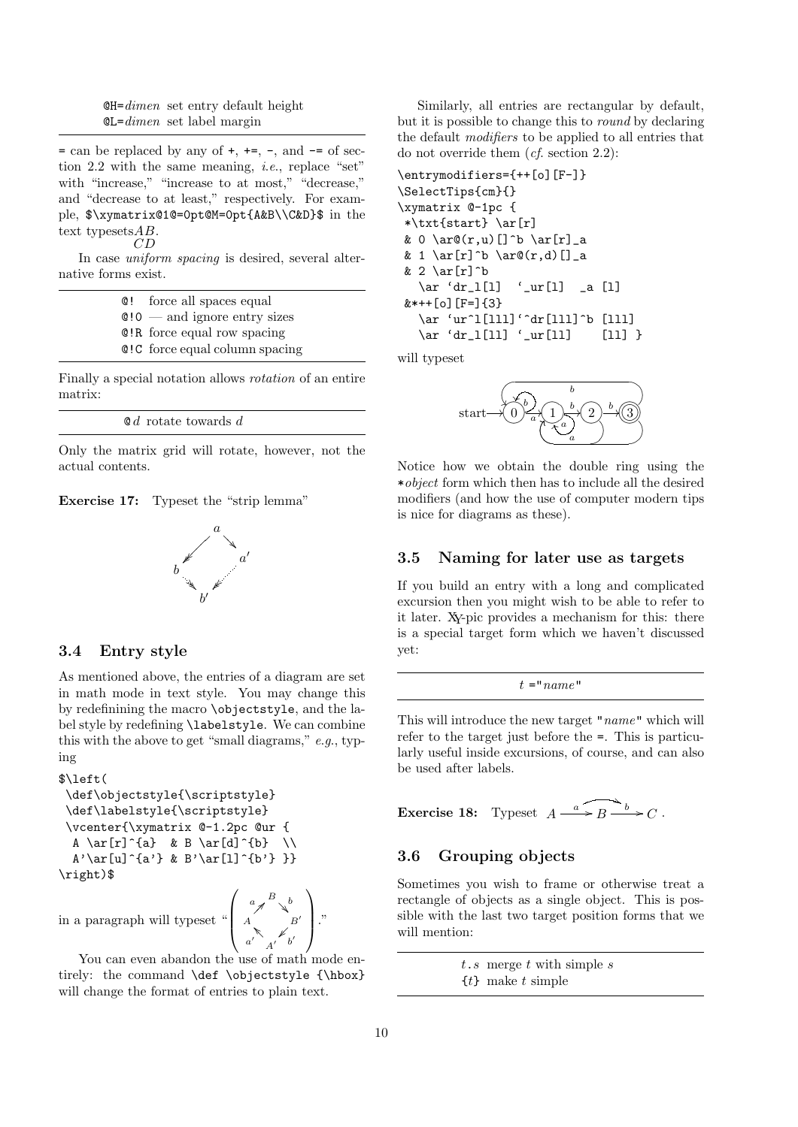$QH=dimen$  set entry default height  $\mathbb{GL}=dimen$  set label margin

 $=$  can be replaced by any of  $+$ ,  $+=$ ,  $-$ , and  $-$  of section 2.2 with the same meaning, i.e., replace "set" with "increase," "increase to at most," "decrease," and "decrease to at least," respectively. For example, \$\xymatrix@1@=0pt@M=0pt{A&B\\C&D}\$ in the text typesets *AB*.  $CD$ 

In case *uniform spacing* is desired, several alternative forms exist.

| <b>Q!</b> force all spaces equal          |
|-------------------------------------------|
| $\mathbf{Q}$ : 0 — and ignore entry sizes |
| <b>C</b> R force equal row spacing        |
| <b>C</b> : C force equal column spacing   |

Finally a special notation allows rotation of an entire matrix:

| $\mathbf{0}d$ rotate towards d |  |
|--------------------------------|--|
|--------------------------------|--|

Only the matrix grid will rotate, however, not the actual contents.





#### 3.4 Entry style

As mentioned above, the entries of a diagram are set in math mode in text style. You may change this by redefinining the macro \objectstyle, and the label style by redefining \labelstyle. We can combine this with the above to get "small diagrams,"  $e.g.,$  typing

```
$\left(
 \def\objectstyle{\scriptstyle}
 \def\labelstyle{\scriptstyle}
 \vcenter{\xymatrix @-1.2pc @ur {
  A \ar[r]^{a} & B \ar[d]^{b} \\
  A' \ar[u]^{a'} & B'\ar[l] {b' } }}
\right)$
                                \sqrt{ }\mathscr{A}^{\prime}B<sub>\check{b}</sub>
                                          \searrow^b\setminus
```
in a paragraph will typeset "

 $\begin{matrix}\nA & B' \\
a' & A' \end{matrix}$ You can even abandon the use of math mode entirely: the command \def \objectstyle {\hbox} will change the format of entries to plain text.

 $\begin{bmatrix} A \\ C \end{bmatrix}$ 

 $\mathscr{L}$ <sub>b'</sub>

 $\Big\}$ ."

Similarly, all entries are rectangular by default, but it is possible to change this to round by declaring the default modifiers to be applied to all entries that do not override them (cf. section 2.2):

```
\entrymodifiers={++[o][F-]}
\SelectTips{cm}{}
\xymatrix @-1pc {
 *\txt{start} \ar[r]
 & 0 \ar\mathcal{C}(r,u) [] ^b \ar[r] _a
 & 1 \ar[r]^b \ar\mathbb{C}(r,d)[]_a
 & 2 \ar[r]^b<br>\ar 'dr_l[l]
                    \langle \text{ur}[l] \rangle a [1]k*** [o] [F=] {3}
   \ar 'ur^l[lll]'^dr[lll]^b [lll]
   \ar 'dr\_l[11] 'ur[11] [11]
```
will typeset



Notice how we obtain the double ring using the \*object form which then has to include all the desired modifiers (and how the use of computer modern tips is nice for diagrams as these).

#### 3.5 Naming for later use as targets

If you build an entry with a long and complicated excursion then you might wish to be able to refer to it later. XY-pic provides a mechanism for this: there is a special target form which we haven't discussed yet:

 $t = "name"$ 

This will introduce the new target "name" which will refer to the target just before the =. This is particularly useful inside excursions, of course, and can also be used after labels.

**Exercise 18:** Typeset 
$$
A \xrightarrow{a} B \xrightarrow{b} C
$$
.

# 3.6 Grouping objects

Sometimes you wish to frame or otherwise treat a rectangle of objects as a single object. This is possible with the last two target position forms that we will mention:

> $t.s$  merge  $t$  with simple  $s$  ${t}$  make t simple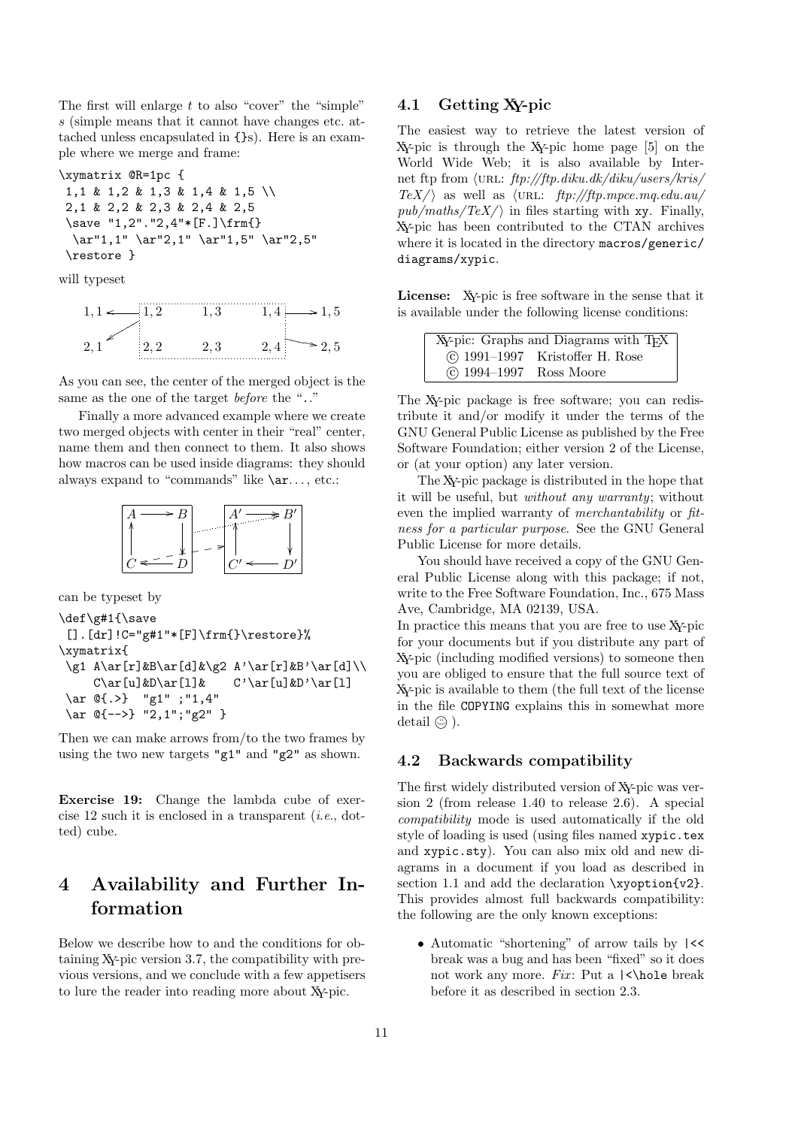The first will enlarge  $t$  to also "cover" the "simple" s (simple means that it cannot have changes etc. attached unless encapsulated in {}s). Here is an example where we merge and frame:

```
\xymatrix @R=1pc {
 1,1 & 1,2 & 1,3 & 1,4 & 1,5 \\
2,1 & 2,2 & 2,3 & 2,4 & 2,5
 \save "1,2"."2,4"*[F.]\frm{}
  \ar"1,1" \ar"2,1" \ar"1,5" \ar"2,5"
 \restore }
```
will typeset



As you can see, the center of the merged object is the same as the one of the target *before* the ".."

Finally a more advanced example where we create two merged objects with center in their "real" center, name them and then connect to them. It also shows how macros can be used inside diagrams: they should always expand to "commands" like  $\ar...$ , etc.:



can be typeset by

```
\def\g#1{\save
 [].[dr]!C="g#1"*[F]\frm{}\restore}%
\xymatrix{
 \g1 A\ar[r]&B\ar[d]&\g2 A'\ar[r]&B'\ar[d]\\
    C\ar[u]&D\ar[l]& C'\ar[u]&D'\ar[l]
 \ar @{.>} "g1" ;"1,4"
 \ar @{-->} "2,1";"g2" }
```
Then we can make arrows from/to the two frames by using the two new targets "g1" and "g2" as shown.

Exercise 19: Change the lambda cube of exercise 12 such it is enclosed in a transparent (i.e., dotted) cube.

# 4 Availability and Further Information

Below we describe how to and the conditions for obtaining XY-pic version 3.7, the compatibility with previous versions, and we conclude with a few appetisers to lure the reader into reading more about XY-pic.

#### 4.1 Getting XY-pic

The easiest way to retrieve the latest version of XY-pic is through the XY-pic home page [5] on the World Wide Web; it is also available by Internet ftp from  $\langle \text{URL: } \frac{ftp}{ftp}$ . diku.dk/diku/users/kris/  $TeX/\rangle$  as well as  $\langle \text{URL: } ftp://ftp.mpce.mq.edu.au/\rangle$  $pub/maths/TeX/$  in files starting with xy. Finally, XY-pic has been contributed to the CTAN archives where it is located in the directory macros/generic/ diagrams/xypic.

License: XY-pic is free software in the sense that it is available under the following license conditions:

|                              | XY-pic: Graphs and Diagrams with TFX |
|------------------------------|--------------------------------------|
|                              | (c) 1991–1997 Kristoffer H. Rose     |
| $\circ$ 1994–1997 Ross Moore |                                      |

The XY-pic package is free software; you can redistribute it and/or modify it under the terms of the GNU General Public License as published by the Free Software Foundation; either version 2 of the License, or (at your option) any later version.

The XY-pic package is distributed in the hope that it will be useful, but without any warranty; without even the implied warranty of merchantability or fitness for a particular purpose. See the GNU General Public License for more details.

You should have received a copy of the GNU General Public License along with this package; if not, write to the Free Software Foundation, Inc., 675 Mass Ave, Cambridge, MA 02139, USA.

In practice this means that you are free to use XY-pic for your documents but if you distribute any part of XY-pic (including modified versions) to someone then you are obliged to ensure that the full source text of XY-pic is available to them (the full text of the license in the file COPYING explains this in somewhat more detail  $\odot$ ).

#### 4.2 Backwards compatibility

The first widely distributed version of XY-pic was version 2 (from release 1.40 to release 2.6). A special compatibility mode is used automatically if the old style of loading is used (using files named xypic.tex and xypic.sty). You can also mix old and new diagrams in a document if you load as described in section 1.1 and add the declaration \xyoption{v2}. This provides almost full backwards compatibility: the following are the only known exceptions:

• Automatic "shortening" of arrow tails by |<< break was a bug and has been "fixed" so it does not work any more. Fix: Put a  $\langle \rangle$ hole break before it as described in section 2.3.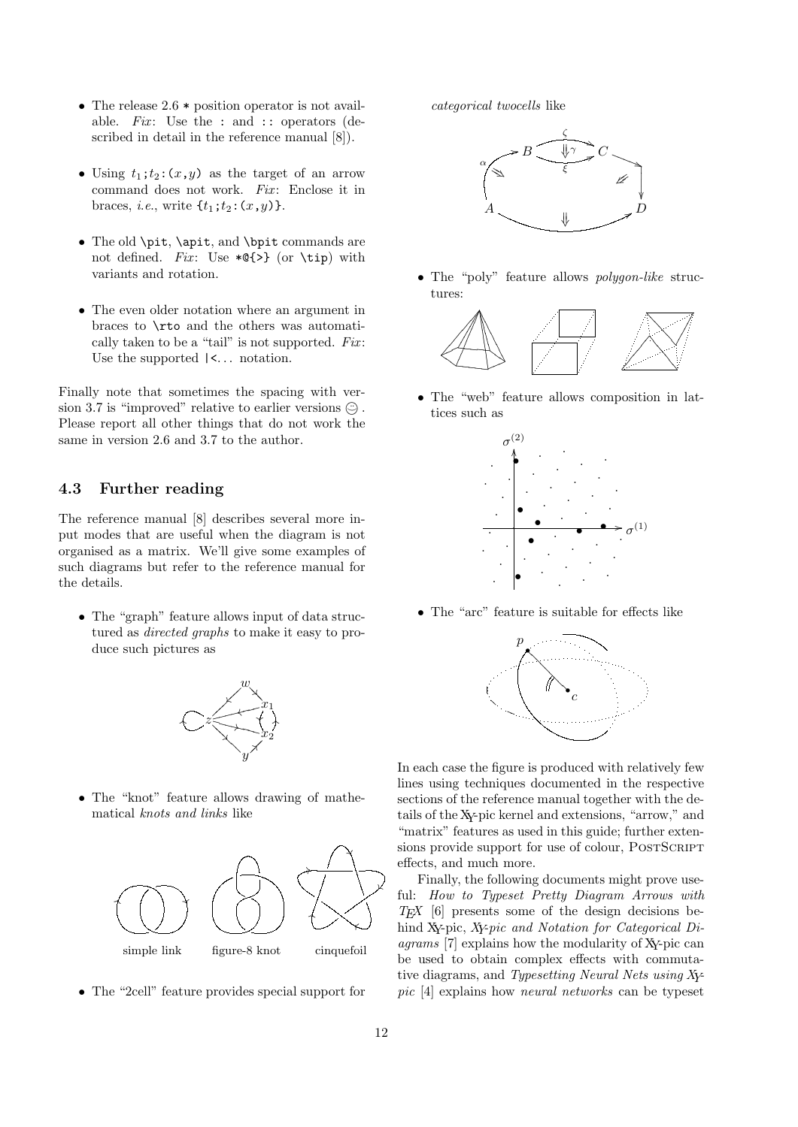- The release  $2.6 *$  position operator is not available. Fix: Use the : and :: operators (described in detail in the reference manual [8]).
- Using  $t_1; t_2: (x, y)$  as the target of an arrow command does not work.  $Fix:$  Enclose it in braces, *i.e.*, write  $\{t_1; t_2: (x, y)\}.$
- The old \pit, \apit, and \bpit commands are not defined. Fix: Use  $*Q$  {>} (or \tip) with variants and rotation.
- The even older notation where an argument in braces to \rto and the others was automatically taken to be a "tail" is not supported.  $Fix:$ Use the supported  $\vert \langle \cdot, \cdot \rangle$  notation.

Finally note that sometimes the spacing with version 3.7 is "improved" relative to earlier versions  $\odot$ . Please report all other things that do not work the same in version 2.6 and 3.7 to the author.

### 4.3 Further reading

The reference manual [8] describes several more input modes that are useful when the diagram is not organised as a matrix. We'll give some examples of such diagrams but refer to the reference manual for the details.

• The "graph" feature allows input of data structured as directed graphs to make it easy to produce such pictures as



• The "knot" feature allows drawing of mathematical knots and links like



• The "2cell" feature provides special support for

categorical twocells like



• The "poly" feature allows *polygon-like* structures:



• The "web" feature allows composition in lattices such as



• The "arc" feature is suitable for effects like



In each case the figure is produced with relatively few lines using techniques documented in the respective sections of the reference manual together with the details of the XY-pic kernel and extensions, "arrow," and "matrix" features as used in this guide; further extensions provide support for use of colour, POSTSCRIPT effects, and much more.

Finally, the following documents might prove useful: How to Typeset Pretty Diagram Arrows with  $TEX$  [6] presents some of the design decisions behind XY-pic, XY-pic and Notation for Categorical Diagrams [7] explains how the modularity of XY-pic can be used to obtain complex effects with commutative diagrams, and Typesetting Neural Nets using XYpic [4] explains how neural networks can be typeset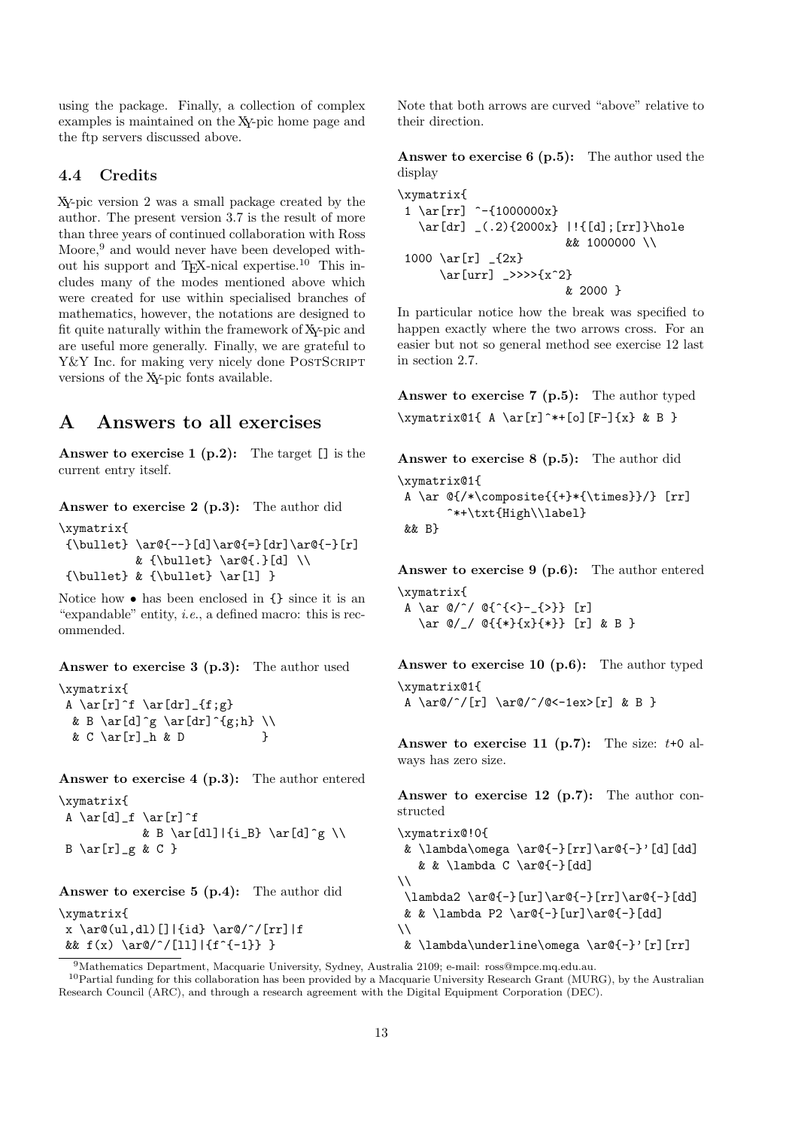using the package. Finally, a collection of complex examples is maintained on the XY-pic home page and the ftp servers discussed above.

### 4.4 Credits

XY-pic version 2 was a small package created by the author. The present version 3.7 is the result of more than three years of continued collaboration with Ross Moore,<sup>9</sup> and would never have been developed without his support and T<sub>EX</sub>-nical expertise.<sup>10</sup> This includes many of the modes mentioned above which were created for use within specialised branches of mathematics, however, the notations are designed to fit quite naturally within the framework of XY-pic and are useful more generally. Finally, we are grateful to Y&Y Inc. for making very nicely done POSTSCRIPT versions of the XY-pic fonts available.

# A Answers to all exercises

Answer to exercise 1  $(p.2)$ : The target [] is the current entry itself.

Answer to exercise 2 (p.3): The author did

```
\xymatrix{
 {\bullet} \ar@{-}-\af] \ar@{-}\[dr] \ar@{-}\[r]& {\bullet} \ar@{.}[d] \\
 {\bullet} \ & {\bullet} \ \ar[1]
```
Notice how • has been enclosed in {} since it is an "expandable" entity, *i.e.*, a defined macro: this is recommended.

Answer to exercise 3 (p.3): The author used

\xymatrix{ A  $\ar[r]$ <sup>f</sup>  $\ar[dr]_{f;g}$ & B \ar[d]^g \ar[dr]^{g;h} \\ & C \ar[r]\_h & D }

Answer to exercise 4 (p.3): The author entered \xymatrix{

A  $\ar[d]_f \ar[r]^f$ & B \ar[dl]|{i\_B} \ar[d]^g \\  $B \ar[r]_g \& C$ }

Answer to exercise 5 (p.4): The author did \xymatrix{

x \ar@(ul,dl)[]|{id} \ar@/^/[rr]|f &&  $f(x) \ar@{^1}[11] |{f^{-1}} \}$ 

Note that both arrows are curved "above" relative to their direction.

Answer to exercise 6 (p.5): The author used the display

```
\xymatrix{
 1 \ar[rr] ^-{1000000x}
   \ar[dr] (0.2){2000x} | [d];[rr]}\hole
                        && 1000000 \\
 1000 \ar[r] _{2x}}
      \ar[urr] \gg>>>{x^2}
                        & 2000 }
```
In particular notice how the break was specified to happen exactly where the two arrows cross. For an easier but not so general method see exercise 12 last in section 2.7.

Answer to exercise 7 (p.5): The author typed  $\xymatrix@1{ A \ar[r]^*+[o][F-]{x} & B }$ 

Answer to exercise 8 (p.5): The author did \xymatrix@1{ A \ar  $\mathbb{(*)}$  \composite{{+}\*{\times}}/} [rr] ^\*+\txt{High\\label} && B}

Answer to exercise 9 (p.6): The author entered \xymatrix{

A \ar  $\mathbb{O}/\hat{O}\left\{ \left\{ \left\{ <\right\} -\left\{ >\right\} \right\} \right\}$  [r] \ar @/\_/ @{{\*}{x}{\*}} [r] & B }

Answer to exercise 10 (p.6): The author typed \xymatrix@1{ A \ar@/^/[r] \ar@/^/@<-1ex>[r] & B }

Answer to exercise 11 (p.7): The size:  $t+0$  always has zero size.

Answer to exercise 12 (p.7): The author constructed

```
\xymatrix@!0{
& \lambda\omega \ar@{-}[rr]\ar@{-}]'[d][dd]
   & & \lambda C \ar@{-}[dd]\setminus\lambda2 \ar@{-}[ur]\ar@{-}[rr]\ar@{-}[dd]
& & \lambda P2 \ar@{-}[ur]\ar@{-}[dd]
\setminus& \lambda\underline\omega \ar@{-}'[r][rr]
```
<sup>9</sup>Mathematics Department, Macquarie University, Sydney, Australia 2109; e-mail: ross@mpce.mq.edu.au.

<sup>&</sup>lt;sup>10</sup>Partial funding for this collaboration has been provided by a Macquarie University Research Grant (MURG), by the Australian Research Council (ARC), and through a research agreement with the Digital Equipment Corporation (DEC).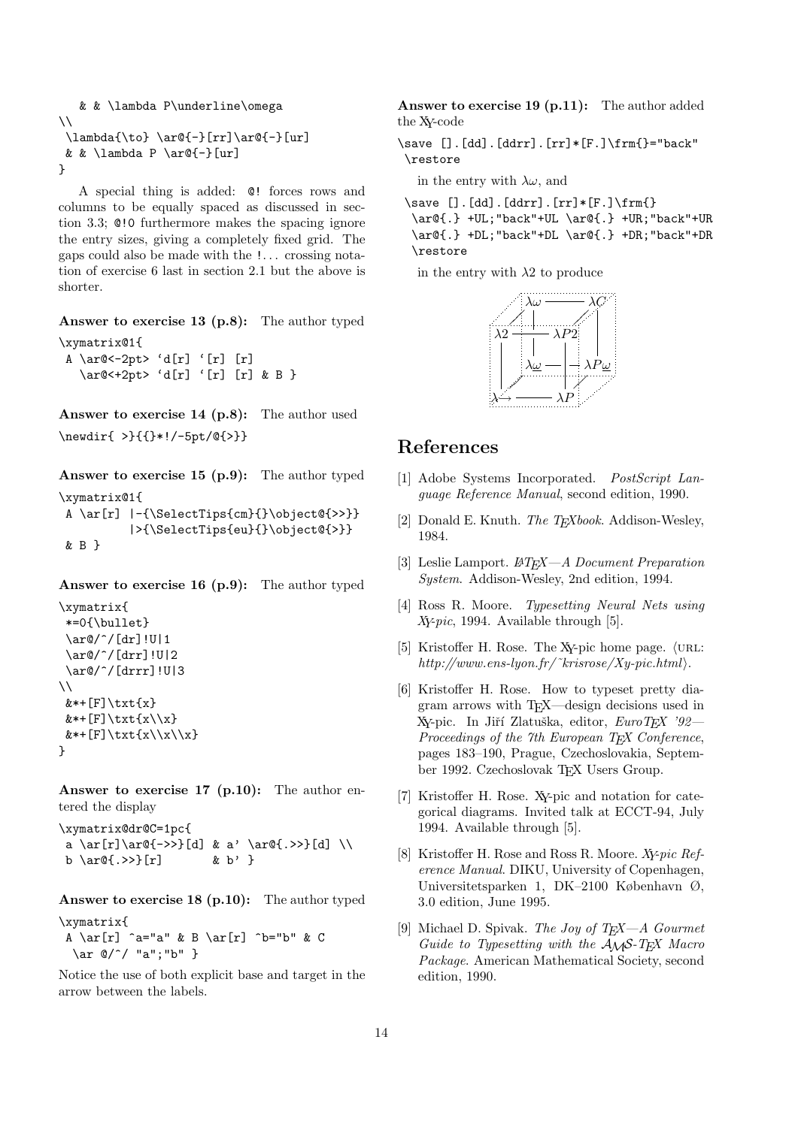```
& & \lambda P\underline\omega
\setminus\lambda{\to} \ar@{-}[rr]\ar@{-}[ur]
& & \lambda P \ar@{-}[ur]}
```
A special thing is added: @! forces rows and columns to be equally spaced as discussed in section 3.3; @!0 furthermore makes the spacing ignore the entry sizes, giving a completely fixed grid. The gaps could also be made with the !. . . crossing notation of exercise 6 last in section 2.1 but the above is shorter.

Answer to exercise 13 (p.8): The author typed

```
\xymatrix@1{
A \ar@<-2pt&gt; 'd[r] ' [r] [r]\ar@<+2pt> 'd[r] '[r] [r] & B }
```
Answer to exercise 14 (p.8): The author used \newdir{ >}{{}\*!/-5pt/@{>}}

Answer to exercise 15 (p.9): The author typed \xymatrix@1{

```
A \ar[r] |-{\SelectTips{cm}{}\object@{>>}}
         |>{\SelectTips{eu}{}\object@{>}}
& B }
```
Answer to exercise 16 (p.9): The author typed

```
\xymatrix{
 *=0{\bullet}
 \ar@/^/[dr]!U|1
 \ar@/^/[drr]!U|2
 \ar@/^/[drrr]!U|3
\setminusk*+[F]\txt{x}
& *+[F]\text{xt}\{x\}\& *+[F]\text{xt}\{x\}\x\}\}
```
Answer to exercise 17 (p.10): The author entered the display

\xymatrix@dr@C=1pc{ a \ar[r]\ar@{->>}[d] & a' \ar@{.>>}[d] \\ b \ar $\mathbb{C}$ . >>}[r] & b' }

Answer to exercise 18 (p.10): The author typed

```
\xymatrix{
A \ar[r] ^a="a" & B \ar[r] ^b="b" & C
 \ar @/^/ "a";"b" }
```
Notice the use of both explicit base and target in the arrow between the labels.

Answer to exercise 19 (p.11): The author added the XY-code

 $\simeq$  [].[dd].[ddrr].[rr]\*[F.] $\frac{}=$ "back" \restore

in the entry with  $\lambda \omega$ , and

```
\simeq [].[dd].[ddrr].[rr]*[F.]\rm{)}\ar@{.} +UL;"back"+UL \ar@{.} +UR;"back"+UR
 \ar@{.} +DL;"back"+DL \ar@{.} +DR;"back"+DR
 \restore
```
in the entry with  $\lambda$ 2 to produce



# References

- [1] Adobe Systems Incorporated. PostScript Language Reference Manual, second edition, 1990.
- [2] Donald E. Knuth. The T<sub>E</sub>Xbook. Addison-Wesley, 1984.
- [3] Leslie Lamport.  $\cancel{B}T_FX-A$  Document Preparation System. Addison-Wesley, 2nd edition, 1994.
- [4] Ross R. Moore. Typesetting Neural Nets using Xy-pic, 1994. Available through [5].
- [5] Kristoffer H. Rose. The XY-pic home page.  $\langle$ URL: http://www.ens-lyon.fr/~krisrose/Xy-pic.html $\rangle$ .
- [6] Kristoffer H. Rose. How to typeset pretty diagram arrows with TEX—design decisions used in Xy-pic. In Jiří Zlatuška, editor, EuroTEX '92-Proceedings of the 7th European TEX Conference, pages 183–190, Prague, Czechoslovakia, September 1992. Czechoslovak T<sub>E</sub>X Users Group.
- [7] Kristoffer H. Rose. XY-pic and notation for categorical diagrams. Invited talk at ECCT-94, July 1994. Available through [5].
- [8] Kristoffer H. Rose and Ross R. Moore. Xy-pic Reference Manual. DIKU, University of Copenhagen, Universitetsparken 1, DK–2100 København Ø, 3.0 edition, June 1995.
- [9] Michael D. Spivak. The Joy of T<sub>E</sub>X- $A$  Gourmet Guide to Typesetting with the  $A_{\mathcal{M}}S$ -T<sub>E</sub>X Macro Package. American Mathematical Society, second edition, 1990.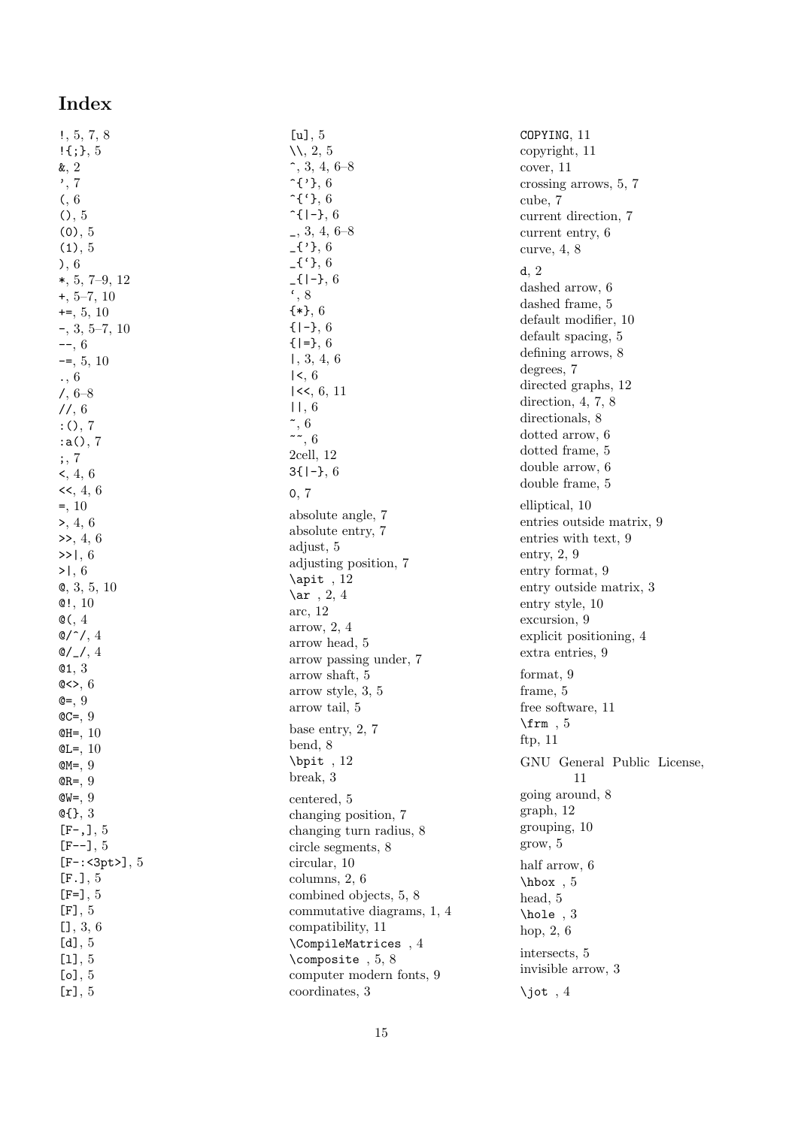# Index

!, 5, 7, 8  $! \{; \}$ , 5 &, 2 ', 7 (, 6  $()$ , 5  $(0), 5$  $(1), 5$ ), 6 \*, 5, 7–9, 12 +, 5–7, 10  $+=, 5, 10$ -, 3, 5–7, 10  $--, 6$  $=-5, 5, 10$ ., 6 /, 6–8 //, 6 :(), 7 :a(), 7 ;, 7  $\leq$ , 4, 6  $<<, 4, 6$  $=$ , 10 >, 4, 6  $\gg$ , 4, 6  $>>1.6$  $>1, 6$ @, 3, 5, 10  $@!$ , 10  $\mathcal{O}(\sqrt{4})$  $Q^{\prime\prime}/.4$  $Q/\sqrt{3}$ , 4 @1, 3  $@>>.6$  $Q = 9$  $QC = 0$ @H=, 10  $QL =$ , 10  $QM =$ , 9  $QR = 9$  $QW = 9$ @{}, 3  $[F-,]$ , 5  $[F--]$ , 5 [F-:<3pt>], 5 [F.], 5  $[F=]$ , 5  $[F], 5$ [], 3, 6 [d], 5 [l], 5  $[o]$ ,  $5$  $[r]$ , 5

[u], 5 \\, 2, 5  $\hat{ }$ , 3, 4, 6–8  $\hat{ }$   $\cdot$  { $\cdot$ }, 6  $\hat{C}$ {'}, 6  $\hat{}$  f | - }, 6 \_, 3, 4, 6–8  $-$ {'}, 6  $_{-}$ {'}, 6  $_{-}$ {|-}, 6  $\cdot$ , 8 {\*}, 6  $\{-1, 6$  ${|=}$ , 6 |, 3, 4, 6  $|<, 6$  $\leq$ , 6, 11 ||, 6  $\tilde{ }$ , 6  $\sim 6$ 2cell, 12  $3\{|-\}, 6$ 0, 7 absolute angle, 7 absolute entry, 7 adjust, 5 adjusting position, 7  $\alpha$ <sub>12</sub>  $\ar$ , 2, 4 arc, 12 arrow, 2, 4 arrow head, 5 arrow passing under, 7 arrow shaft, 5 arrow style, 3, 5 arrow tail, 5 base entry, 2, 7 bend, 8 \bpit , 12 break, 3 centered, 5 changing position, 7 changing turn radius, 8 circle segments, 8 circular, 10 columns, 2, 6 combined objects, 5, 8 commutative diagrams, 1, 4 compatibility, 11 \CompileMatrices , 4 \composite , 5, 8 computer modern fonts, 9 coordinates, 3

COPYING, 11 copyright, 11 cover, 11 crossing arrows, 5, 7 cube, 7 current direction, 7 current entry, 6 curve, 4, 8 d, 2 dashed arrow, 6 dashed frame, 5 default modifier, 10 default spacing, 5 defining arrows, 8 degrees, 7 directed graphs, 12 direction, 4, 7, 8 directionals, 8 dotted arrow, 6 dotted frame, 5 double arrow, 6 double frame, 5 elliptical, 10 entries outside matrix, 9 entries with text, 9 entry, 2, 9 entry format, 9 entry outside matrix, 3 entry style, 10 excursion, 9 explicit positioning, 4 extra entries, 9 format, 9 frame, 5 free software, 11  $\mathrm{trm}$ , 5 ftp, 11 GNU General Public License, 11 going around, 8 graph, 12 grouping, 10 grow, 5 half arrow, 6 \hbox , 5 head, 5 \hole , 3 hop, 2, 6 intersects, 5 invisible arrow, 3  $\int$ iot , 4